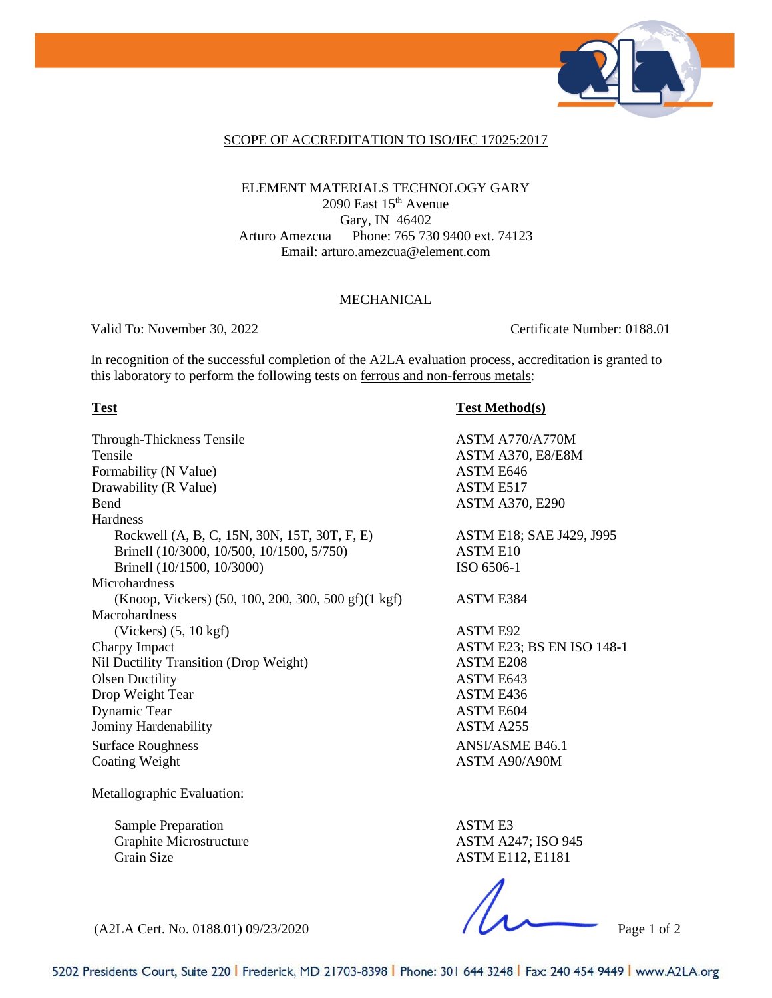

### SCOPE OF ACCREDITATION TO ISO/IEC 17025:2017

## ELEMENT MATERIALS TECHNOLOGY GARY 2090 East  $15<sup>th</sup>$  Avenue Gary, IN 46402 Arturo Amezcua Phone: 765 730 9400 ext. 74123 Email: arturo.amezcua@element.com

### MECHANICAL

Valid To: November 30, 2022 Certificate Number: 0188.01

In recognition of the successful completion of the A2LA evaluation process, accreditation is granted to this laboratory to perform the following tests on ferrous and non-ferrous metals:

Through-Thickness Tensile ASTM A770/A770M Tensile ASTM A370, E8/E8M Formability (N Value) ASTM E646 Drawability (R Value) ASTM E517 Bend ASTM A370, E290 **Hardness** Rockwell (A, B, C, 15N, 30N, 15T, 30T, F, E) Brinell (10/3000, 10/500, 10/1500, 5/750) Brinell (10/1500, 10/3000) Microhardness (Knoop, Vickers) (50, 100, 200, 300, 500 gf)(1 kgf) ASTM E384 Macrohardness (Vickers) (5, 10 kgf) ASTM E92 Charpy Impact **ASTM E23**; BS EN ISO 148-1 Nil Ductility Transition (Drop Weight) ASTM E208 Olsen Ductility ASTM E643 Drop Weight Tear ASTM E436 Dynamic Tear ASTM E604 Jominy Hardenability **ASTM A255** Surface Roughness ANSI/ASME B46.1 Coating Weight **ASTM A90/A90M** 

Metallographic Evaluation:

Sample Preparation Graphite Microstructure Grain Size

**Test Test Method(s)**

ASTM E18; SAE J429, J995 ASTM E10 ISO 6506-1

ASTM E3 ASTM A247; ISO 945 ASTM E112, E1181

(A2LA Cert. No. 0188.01) 09/23/2020 Page 1 of 2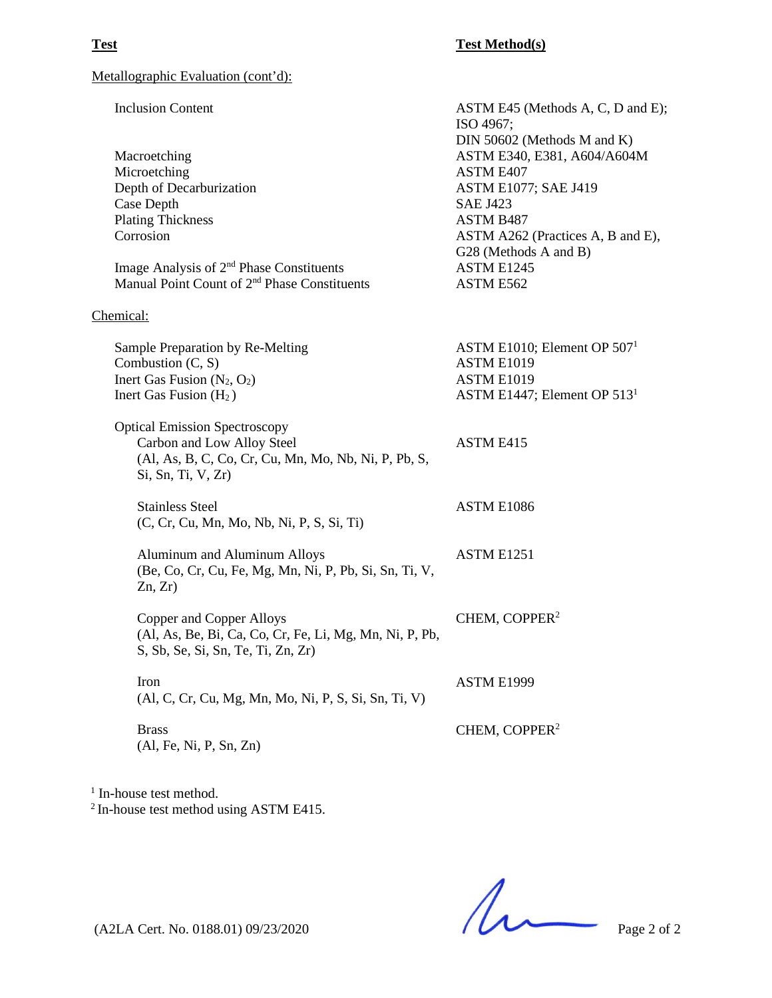ASTM E1086

ASTM E1999

CHEM, COPPER2

Metallographic Evaluation (cont'd):

Inclusion Content Macroetching Microetching Depth of Decarburization Case Depth Plating Thickness Corrosion Image Analysis of 2nd Phase Constituents Manual Point Count of 2<sup>nd</sup> Phase Constituents ASTM E45 (Methods A, C, D and E); ISO 4967; DIN 50602 (Methods M and K) ASTM E340, E381, A604/A604M ASTM E407 ASTM E1077; SAE J419 SAE J423 ASTM B487 ASTM A262 (Practices A, B and E), G28 (Methods A and B) ASTM E1245 ASTM E562

Chemical:

Sample Preparation by Re-Melting Combustion (C, S) Inert Gas Fusion  $(N_2, O_2)$ Inert Gas Fusion  $(H<sub>2</sub>)$ ASTM E1010; Element OP 5071 ASTM E1019 ASTM E1019 ASTM E1447; Element OP 5131

Optical Emission Spectroscopy Carbon and Low Alloy Steel (Al, As, B, C, Co, Cr, Cu, Mn, Mo, Nb, Ni, P, Pb, S, Si, Sn, Ti, V, Zr) ASTM E415

Stainless Steel (C, Cr, Cu, Mn, Mo, Nb, Ni, P, S, Si, Ti)

Aluminum and Aluminum Alloys (Be, Co, Cr, Cu, Fe, Mg, Mn, Ni, P, Pb, Si, Sn, Ti, V,  $Zn, Zr$ ASTM E1251

Copper and Copper Alloys (Al, As, Be, Bi, Ca, Co, Cr, Fe, Li, Mg, Mn, Ni, P, Pb, S, Sb, Se, Si, Sn, Te, Ti, Zn, Zr) CHEM, COPPER2

Iron (Al, C, Cr, Cu, Mg, Mn, Mo, Ni, P, S, Si, Sn, Ti, V)

Brass (Al, Fe, Ni, P, Sn, Zn)

<sup>1</sup> In-house test method.

<sup>2</sup> In-house test method using ASTM E415.

(A2LA Cert. No. 0188.01) 09/23/2020 Page 2 of 2